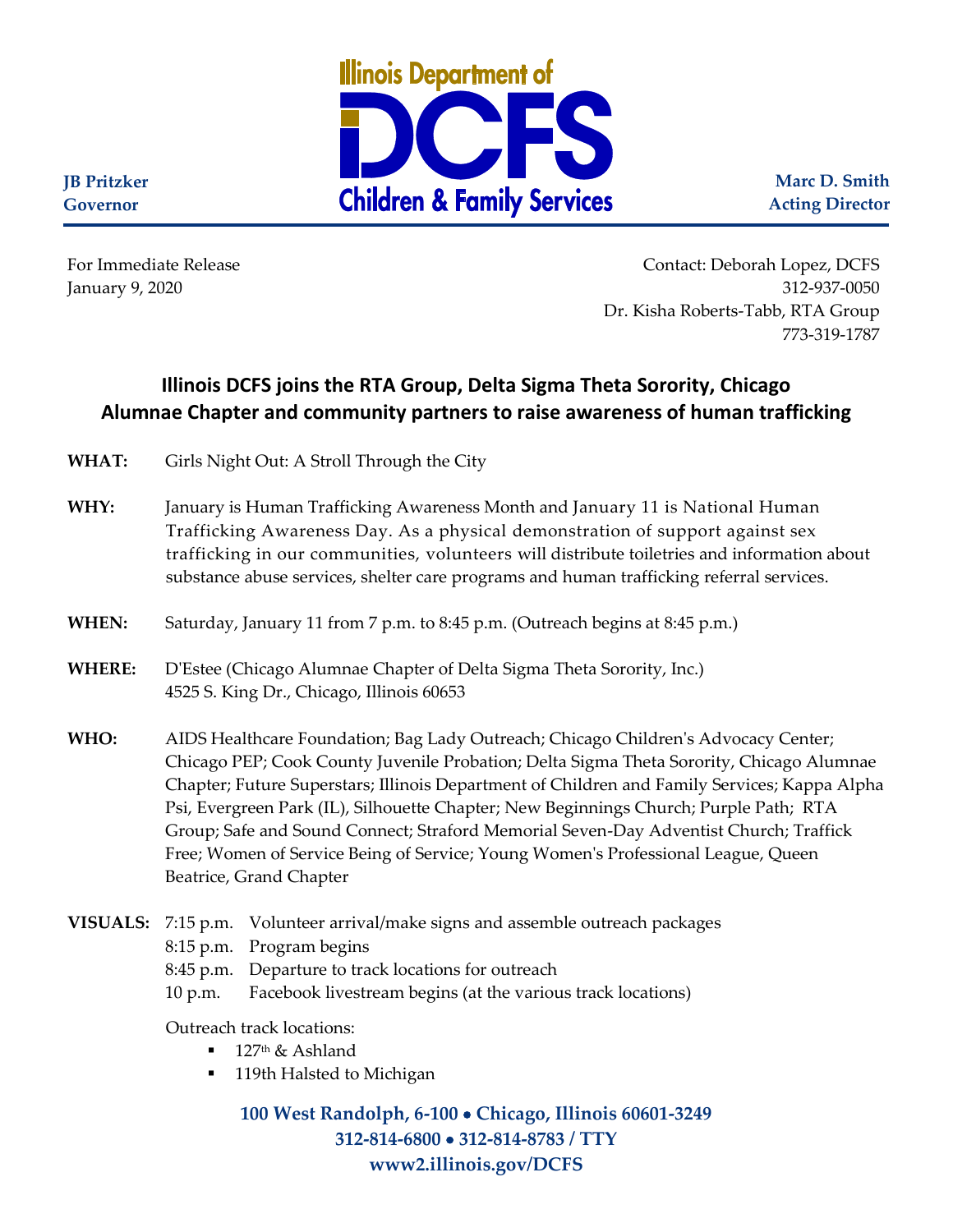

**Marc D. Smith Acting Director**

**JB Pritzker Governor**

For Immediate Release Contact: Deborah Lopez, DCFS January 9, 2020 312-937-0050 Dr. Kisha Roberts-Tabb, RTA Group 773-319-1787

## **Illinois DCFS joins the RTA Group, Delta Sigma Theta Sorority, Chicago Alumnae Chapter and community partners to raise awareness of human trafficking**

**WHAT:** Girls Night Out: A Stroll Through the City

- **WHY:** January is Human Trafficking Awareness Month and January 11 is National Human Trafficking Awareness Day. As a physical demonstration of support against sex trafficking in our communities, volunteers will distribute toiletries and information about substance abuse services, shelter care programs and human trafficking referral services.
- **WHEN:** Saturday, January 11 from 7 p.m. to 8:45 p.m. (Outreach begins at 8:45 p.m.)
- **WHERE:** D'Estee (Chicago Alumnae Chapter of Delta Sigma Theta Sorority, Inc.) 4525 S. King Dr., Chicago, Illinois 60653
- **WHO:** AIDS Healthcare Foundation; Bag Lady Outreach; Chicago Children's Advocacy Center; Chicago PEP; Cook County Juvenile Probation; Delta Sigma Theta Sorority, Chicago Alumnae Chapter; Future Superstars; Illinois Department of Children and Family Services; Kappa Alpha Psi, Evergreen Park (IL), Silhouette Chapter; New Beginnings Church; Purple Path; RTA Group; Safe and Sound Connect; Straford Memorial Seven-Day Adventist Church; Traffick Free; Women of Service Being of Service; Young Women's Professional League, Queen Beatrice, Grand Chapter
- **VISUALS:** 7:15 p.m. Volunteer arrival/make signs and assemble outreach packages 8:15 p.m. Program begins 8:45 p.m. Departure to track locations for outreach 10 p.m. Facebook livestream begins (at the various track locations)

Outreach track locations:

- $\blacksquare$  127<sup>th</sup> & Ashland
- 119th Halsted to Michigan

**100 West Randolph, 6-100** • **Chicago, Illinois 60601-3249 312-814-6800** • **312-814-8783 / TTY www2.illinois.gov/DCFS**